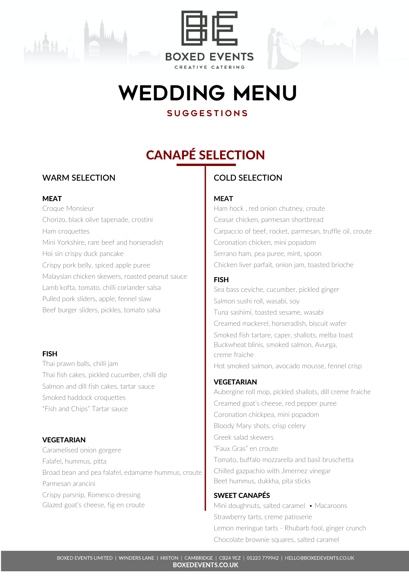



## WEDDING MENU

### **SUGGESTIONS**

## CANAPÉ SELECTION

### **WARM SELECTION**

### MEAT

Croque Monsieur Chorizo, black olive tapenade, crostini Ham croquettes Mini Yorkshire, rare beef and horseradish Hoi sin crispy duck pancake Crispy pork belly, spiced apple puree Malaysian chicken skewers, roasted peanut sauce Lamb kofta, tomato, chilli coriander salsa Pulled pork sliders, apple, fennel slaw Beef burger sliders, pickles, tomato salsa

### FISH

Thai prawn balls, chilli jam Thai fish cakes, pickled cucumber, chilli dip Salmon and dill fish cakes, tartar sauce Smoked haddock croquettes "Fish and Chips" Tartar sauce

### VEGETARIAN

Caramelised onion gorgere Falafel, hummus, pitta Broad bean and pea falafel, edamame hummus, croute Parmesan arancini Crispy parsnip, Romesco dressing Glazed goat's cheese, fig en croute

### **COLD SELECTION**

### **MEAT**

Ham hock , red onion chutney, croute Ceasar chicken, parmesan shortbread Carpaccio of beef, rocket, parmesan, truffle oil, croute Coronation chicken, mini popadom Serrano ham, pea puree, mint, spoon Chicken liver parfait, onion jam, toasted brioche

### FISH

Sea bass ceviche, cucumber, pickled ginger Salmon sushi roll, wasabi, soy Tuna sashimi, toasted sesame, wasabi Creamed mackerel, horseradish, biscuit wafer Smoked fish tartare, caper, shallots, melba toast Buckwheat blinis, smoked salmon, Avurga, creme fraiche Hot smoked salmon, avocado mousse, fennel crisp

### **VEGETARIAN**

Aubergine roll mop, pickled shallots, dill creme fraiche Creamed goat's cheese, red pepper puree Coronation chickpea, mini popadom Bloody Mary shots, crisp celery Greek salad skewers "Faux Gras" en croute Tomato, buffalo mozzarella and basil bruschetta Chilled gazpachio with Jimernez vinegar Beet hummus, dukkha, pita sticks

### SWEET CANAPÉS

Mini doughnuts, salted caramel • Macaroons Strawberry tarts, creme patisserie Lemon meringue tarts - Rhubarb fool, ginger crunch Chocolate brownie squares, salted caramel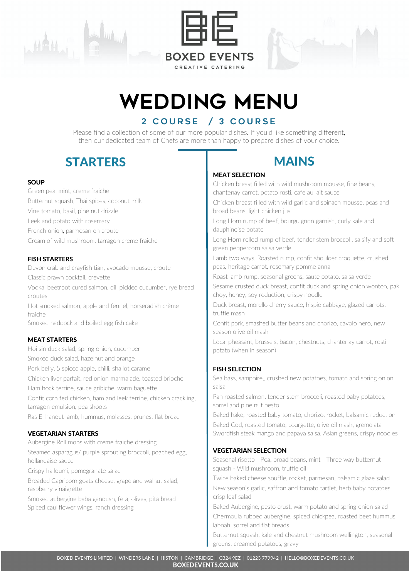





# WEDDING MENU

### 2 COURSE / 3 COURSE

Please find a collection of some of our more popular dishes. If you'd like something different, then our dedicated team of Chefs are more than happy to prepare dishes of your choice.

### STARTERS I MAINS

### **SOUP**

Green pea, mint, creme fraiche Butternut squash, Thai spices, coconut milk Vine tomato, basil, pine nut drizzle Leek and potato with rosemary French onion, parmesan en croute Cream of wild mushroom, tarragon creme fraiche

### FISH STARTERS

Devon crab and crayfish tian, avocado mousse, croute

Classic prawn cocktail, crevette

Vodka, beetroot cured salmon, dill pickled cucumber, rye bread croutes

Hot smoked salmon, apple and fennel, horseradish crème fraiche

Smoked haddock and boiled egg fish cake

### MEAT STARTERS

Hoi sin duck salad, spring onion, cucumber Smoked duck salad, hazelnut and orange Pork belly, 5 spiced apple, chilli, shallot caramel Chicken liver parfait, red onion marmalade, toasted brioche Ham hock terrine, sauce gribiche, warm baguette Confit corn fed chicken, ham and leek terrine, chicken crackling, tarragon emulsion, pea shoots Ras El hanout lamb, hummus, molasses, prunes, flat bread

### VEGETARIAN STARTERS

Aubergine Roll mops with creme fraiche dressing

Steamed asparagus/ purple sprouting broccoli, poached egg, hollandaise sauce

Crispy halloumi, pomegranate salad

Breaded Capricorn goats cheese, grape and walnut salad, raspberry vinaigrette

Smoked aubergine baba ganoush, feta, olives, pita bread Spiced cauliflower wings, ranch dressing

### MEAT SELECTION

Chicken breast filled with wild mushroom mousse, fine beans, chantenay carrot, potato rosti, cafe au lait sauce

Chicken breast filled with wild garlic and spinach mousse, peas and broad beans, light chicken jus

Long Horn rump of beef, bourguignon garnish, curly kale and dauphinoise potato

Long Horn rolled rump of beef, tender stem broccoli, salsify and soft green peppercorn salsa verde

Lamb two ways, Roasted rump, confit shoulder croquette, crushed peas, heritage carrot, rosemary pomme anna

Roast lamb rump, seasonal greens, saute potato, salsa verde

Sesame crusted duck breast, confit duck and spring onion wonton, pak choy, honey, soy reduction, crispy noodle

Duck breast, morello cherry sauce, hispie cabbage, glazed carrots, truffle mash

Confit pork, smashed butter beans and chorizo, cavolo nero, new season olive oil mash

Local pheasant, brussels, bacon, chestnuts, chantenay carrot, rosti potato (when in season)

### FISH SELECTION

Sea bass, samphire,, crushed new potatoes, tomato and spring onion salsa

Pan roasted salmon, tender stem broccoli, roasted baby potatoes, sorrel and pine nut pesto

Baked hake, roasted baby tomato, chorizo, rocket, balsamic reduction

Baked Cod, roasted tomato, courgette, olive oil mash, gremolata Swordfish steak mango and papaya salsa, Asian greens, crispy noodles

### VEGETARIAN SELECTION

Seasonal risotto - Pea, broad beans, mint - Three way butternut squash - Wild mushroom, truffle oil

Twice baked cheese souffle, rocket, parmesan, balsamic glaze salad New season's garlic, saffron and tomato tartlet, herb baby potatoes, crisp leaf salad

Baked Aubergine, pesto crust, warm potato and spring onion salad Chermoula rubbed aubergine, spiced chickpea, roasted beet hummus, labnah, sorrel and flat breads

Butternut squash, kale and chestnut mushroom wellington, seasonal greens, creamed potatoes, gravy